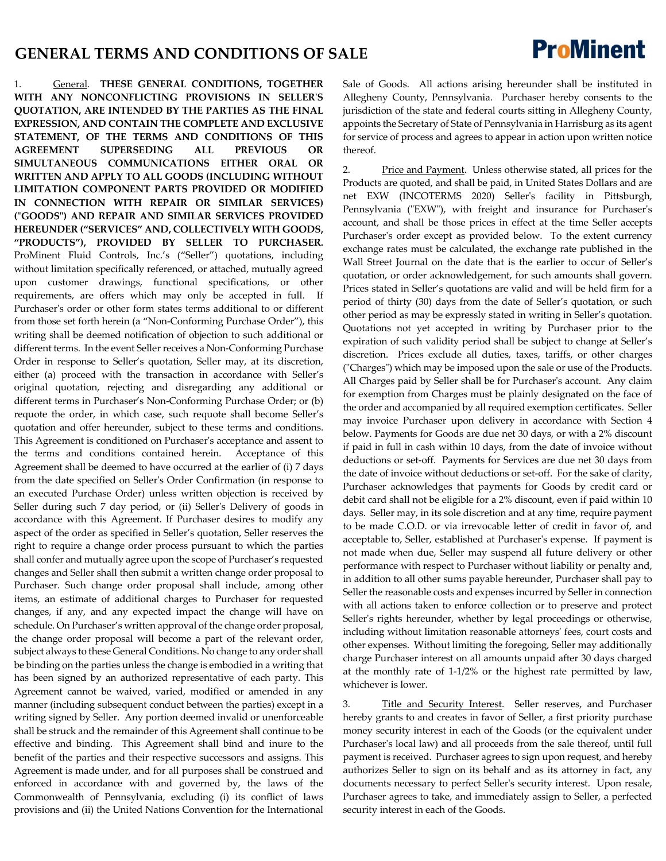## **GENERAL TERMS AND CONDITIONS OF SALE**

1. General. **THESE GENERAL CONDITIONS, TOGETHER WITH ANY NONCONFLICTING PROVISIONS IN SELLER'S QUOTATION, ARE INTENDED BY THE PARTIES AS THE FINAL EXPRESSION, AND CONTAIN THE COMPLETE AND EXCLUSIVE STATEMENT, OF THE TERMS AND CONDITIONS OF THIS AGREEMENT SUPERSEDING ALL PREVIOUS OR SIMULTANEOUS COMMUNICATIONS EITHER ORAL OR WRITTEN AND APPLY TO ALL GOODS (INCLUDING WITHOUT LIMITATION COMPONENT PARTS PROVIDED OR MODIFIED IN CONNECTION WITH REPAIR OR SIMILAR SERVICES) ("GOODS") AND REPAIR AND SIMILAR SERVICES PROVIDED HEREUNDER ("SERVICES" AND, COLLECTIVELY WITH GOODS, "PRODUCTS"), PROVIDED BY SELLER TO PURCHASER.** ProMinent Fluid Controls, Inc.'s ("Seller") quotations, including without limitation specifically referenced, or attached, mutually agreed upon customer drawings, functional specifications, or other requirements, are offers which may only be accepted in full. If Purchaser's order or other form states terms additional to or different from those set forth herein (a "Non-Conforming Purchase Order"), this writing shall be deemed notification of objection to such additional or different terms. In the event Seller receives a Non-Conforming Purchase Order in response to Seller's quotation, Seller may, at its discretion, either (a) proceed with the transaction in accordance with Seller's original quotation, rejecting and disregarding any additional or different terms in Purchaser's Non-Conforming Purchase Order; or (b) requote the order, in which case, such requote shall become Seller's quotation and offer hereunder, subject to these terms and conditions. This Agreement is conditioned on Purchaser's acceptance and assent to the terms and conditions contained herein. Acceptance of this Agreement shall be deemed to have occurred at the earlier of (i) 7 days from the date specified on Seller's Order Confirmation (in response to an executed Purchase Order) unless written objection is received by Seller during such 7 day period, or (ii) Seller's Delivery of goods in accordance with this Agreement. If Purchaser desires to modify any aspect of the order as specified in Seller's quotation, Seller reserves the right to require a change order process pursuant to which the parties shall confer and mutually agree upon the scope of Purchaser's requested changes and Seller shall then submit a written change order proposal to Purchaser. Such change order proposal shall include, among other items, an estimate of additional charges to Purchaser for requested changes, if any, and any expected impact the change will have on schedule. On Purchaser's written approval of the change order proposal, the change order proposal will become a part of the relevant order, subject always to these General Conditions. No change to any order shall be binding on the parties unless the change is embodied in a writing that has been signed by an authorized representative of each party. This Agreement cannot be waived, varied, modified or amended in any manner (including subsequent conduct between the parties) except in a writing signed by Seller. Any portion deemed invalid or unenforceable shall be struck and the remainder of this Agreement shall continue to be effective and binding. This Agreement shall bind and inure to the benefit of the parties and their respective successors and assigns. This Agreement is made under, and for all purposes shall be construed and enforced in accordance with and governed by, the laws of the Commonwealth of Pennsylvania, excluding (i) its conflict of laws provisions and (ii) the United Nations Convention for the International

Sale of Goods. All actions arising hereunder shall be instituted in Allegheny County, Pennsylvania. Purchaser hereby consents to the jurisdiction of the state and federal courts sitting in Allegheny County, appoints the Secretary of State of Pennsylvania in Harrisburg as its agent for service of process and agrees to appear in action upon written notice thereof.

2. Price and Payment. Unless otherwise stated, all prices for the Products are quoted, and shall be paid, in United States Dollars and are net EXW (INCOTERMS 2020) Seller's facility in Pittsburgh, Pennsylvania ("EXW"), with freight and insurance for Purchaser's account, and shall be those prices in effect at the time Seller accepts Purchaser's order except as provided below. To the extent currency exchange rates must be calculated, the exchange rate published in the Wall Street Journal on the date that is the earlier to occur of Seller's quotation, or order acknowledgement, for such amounts shall govern. Prices stated in Seller's quotations are valid and will be held firm for a period of thirty (30) days from the date of Seller's quotation, or such other period as may be expressly stated in writing in Seller's quotation. Quotations not yet accepted in writing by Purchaser prior to the expiration of such validity period shall be subject to change at Seller's discretion. Prices exclude all duties, taxes, tariffs, or other charges ("Charges") which may be imposed upon the sale or use of the Products. All Charges paid by Seller shall be for Purchaser's account. Any claim for exemption from Charges must be plainly designated on the face of the order and accompanied by all required exemption certificates. Seller may invoice Purchaser upon delivery in accordance with Section 4 below. Payments for Goods are due net 30 days, or with a 2% discount if paid in full in cash within 10 days, from the date of invoice without deductions or set-off. Payments for Services are due net 30 days from the date of invoice without deductions or set-off. For the sake of clarity, Purchaser acknowledges that payments for Goods by credit card or debit card shall not be eligible for a 2% discount, even if paid within 10 days. Seller may, in its sole discretion and at any time, require payment to be made C.O.D. or via irrevocable letter of credit in favor of, and acceptable to, Seller, established at Purchaser's expense. If payment is not made when due, Seller may suspend all future delivery or other performance with respect to Purchaser without liability or penalty and, in addition to all other sums payable hereunder, Purchaser shall pay to Seller the reasonable costs and expenses incurred by Seller in connection with all actions taken to enforce collection or to preserve and protect Seller's rights hereunder, whether by legal proceedings or otherwise, including without limitation reasonable attorneys' fees, court costs and other expenses. Without limiting the foregoing, Seller may additionally charge Purchaser interest on all amounts unpaid after 30 days charged at the monthly rate of 1-1/2% or the highest rate permitted by law, whichever is lower.

3. Title and Security Interest. Seller reserves, and Purchaser hereby grants to and creates in favor of Seller, a first priority purchase money security interest in each of the Goods (or the equivalent under Purchaser's local law) and all proceeds from the sale thereof, until full payment is received. Purchaser agrees to sign upon request, and hereby authorizes Seller to sign on its behalf and as its attorney in fact, any documents necessary to perfect Seller's security interest. Upon resale, Purchaser agrees to take, and immediately assign to Seller, a perfected security interest in each of the Goods.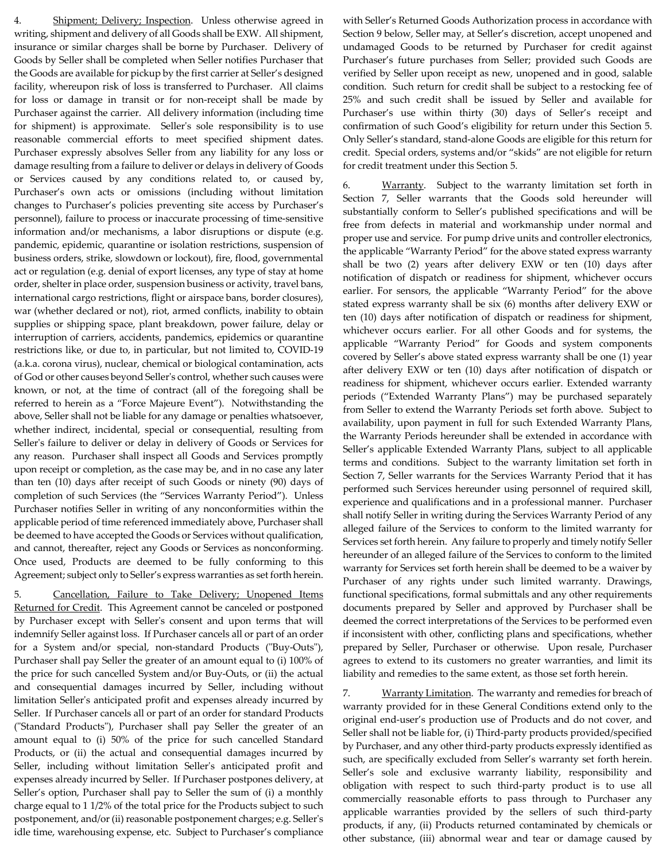Shipment; Delivery; Inspection. Unless otherwise agreed in writing, shipment and delivery of all Goods shall be EXW. All shipment, insurance or similar charges shall be borne by Purchaser. Delivery of Goods by Seller shall be completed when Seller notifies Purchaser that the Goods are available for pickup by the first carrier at Seller's designed facility, whereupon risk of loss is transferred to Purchaser. All claims for loss or damage in transit or for non-receipt shall be made by Purchaser against the carrier. All delivery information (including time for shipment) is approximate. Seller's sole responsibility is to use reasonable commercial efforts to meet specified shipment dates. Purchaser expressly absolves Seller from any liability for any loss or damage resulting from a failure to deliver or delays in delivery of Goods or Services caused by any conditions related to, or caused by, Purchaser's own acts or omissions (including without limitation changes to Purchaser's policies preventing site access by Purchaser's personnel), failure to process or inaccurate processing of time-sensitive information and/or mechanisms, a labor disruptions or dispute (e.g. pandemic, epidemic, quarantine or isolation restrictions, suspension of business orders, strike, slowdown or lockout), fire, flood, governmental act or regulation (e.g. denial of export licenses, any type of stay at home order, shelter in place order, suspension business or activity, travel bans, international cargo restrictions, flight or airspace bans, border closures), war (whether declared or not), riot, armed conflicts, inability to obtain supplies or shipping space, plant breakdown, power failure, delay or interruption of carriers, accidents, pandemics, epidemics or quarantine restrictions like, or due to, in particular, but not limited to, COVID-19 (a.k.a. corona virus), nuclear, chemical or biological contamination, acts of God or other causes beyond Seller's control, whether such causes were known, or not, at the time of contract (all of the foregoing shall be referred to herein as a "Force Majeure Event"). Notwithstanding the above, Seller shall not be liable for any damage or penalties whatsoever, whether indirect, incidental, special or consequential, resulting from Seller's failure to deliver or delay in delivery of Goods or Services for any reason. Purchaser shall inspect all Goods and Services promptly upon receipt or completion, as the case may be, and in no case any later than ten (10) days after receipt of such Goods or ninety (90) days of completion of such Services (the "Services Warranty Period"). Unless Purchaser notifies Seller in writing of any nonconformities within the applicable period of time referenced immediately above, Purchaser shall be deemed to have accepted the Goods or Services without qualification, and cannot, thereafter, reject any Goods or Services as nonconforming. Once used, Products are deemed to be fully conforming to this Agreement; subject only to Seller's express warranties as set forth herein.

5. Cancellation, Failure to Take Delivery; Unopened Items Returned for Credit. This Agreement cannot be canceled or postponed by Purchaser except with Seller's consent and upon terms that will indemnify Seller against loss. If Purchaser cancels all or part of an order for a System and/or special, non-standard Products ("Buy-Outs"), Purchaser shall pay Seller the greater of an amount equal to (i) 100% of the price for such cancelled System and/or Buy-Outs, or (ii) the actual and consequential damages incurred by Seller, including without limitation Seller's anticipated profit and expenses already incurred by Seller. If Purchaser cancels all or part of an order for standard Products ("Standard Products"), Purchaser shall pay Seller the greater of an amount equal to (i) 50% of the price for such cancelled Standard Products, or (ii) the actual and consequential damages incurred by Seller, including without limitation Seller's anticipated profit and expenses already incurred by Seller. If Purchaser postpones delivery, at Seller's option, Purchaser shall pay to Seller the sum of (i) a monthly charge equal to 1 1/2% of the total price for the Products subject to such postponement, and/or (ii) reasonable postponement charges; e.g. Seller's idle time, warehousing expense, etc. Subject to Purchaser's compliance

with Seller's Returned Goods Authorization process in accordance with Section 9 below, Seller may, at Seller's discretion, accept unopened and undamaged Goods to be returned by Purchaser for credit against Purchaser's future purchases from Seller; provided such Goods are verified by Seller upon receipt as new, unopened and in good, salable condition. Such return for credit shall be subject to a restocking fee of 25% and such credit shall be issued by Seller and available for Purchaser's use within thirty (30) days of Seller's receipt and confirmation of such Good's eligibility for return under this Section 5. Only Seller's standard, stand-alone Goods are eligible for this return for credit. Special orders, systems and/or "skids" are not eligible for return for credit treatment under this Section 5.

6. Warranty. Subject to the warranty limitation set forth in Section 7, Seller warrants that the Goods sold hereunder will substantially conform to Seller's published specifications and will be free from defects in material and workmanship under normal and proper use and service. For pump drive units and controller electronics, the applicable "Warranty Period" for the above stated express warranty shall be two (2) years after delivery EXW or ten (10) days after notification of dispatch or readiness for shipment, whichever occurs earlier. For sensors, the applicable "Warranty Period" for the above stated express warranty shall be six (6) months after delivery EXW or ten (10) days after notification of dispatch or readiness for shipment, whichever occurs earlier. For all other Goods and for systems, the applicable "Warranty Period" for Goods and system components covered by Seller's above stated express warranty shall be one (1) year after delivery EXW or ten (10) days after notification of dispatch or readiness for shipment, whichever occurs earlier. Extended warranty periods ("Extended Warranty Plans") may be purchased separately from Seller to extend the Warranty Periods set forth above. Subject to availability, upon payment in full for such Extended Warranty Plans, the Warranty Periods hereunder shall be extended in accordance with Seller's applicable Extended Warranty Plans, subject to all applicable terms and conditions. Subject to the warranty limitation set forth in Section 7, Seller warrants for the Services Warranty Period that it has performed such Services hereunder using personnel of required skill, experience and qualifications and in a professional manner. Purchaser shall notify Seller in writing during the Services Warranty Period of any alleged failure of the Services to conform to the limited warranty for Services set forth herein. Any failure to properly and timely notify Seller hereunder of an alleged failure of the Services to conform to the limited warranty for Services set forth herein shall be deemed to be a waiver by Purchaser of any rights under such limited warranty. Drawings, functional specifications, formal submittals and any other requirements documents prepared by Seller and approved by Purchaser shall be deemed the correct interpretations of the Services to be performed even if inconsistent with other, conflicting plans and specifications, whether prepared by Seller, Purchaser or otherwise. Upon resale, Purchaser agrees to extend to its customers no greater warranties, and limit its liability and remedies to the same extent, as those set forth herein.

7. Warranty Limitation. The warranty and remedies for breach of warranty provided for in these General Conditions extend only to the original end-user's production use of Products and do not cover, and Seller shall not be liable for, (i) Third-party products provided/specified by Purchaser, and any other third-party products expressly identified as such, are specifically excluded from Seller's warranty set forth herein. Seller's sole and exclusive warranty liability, responsibility and obligation with respect to such third-party product is to use all commercially reasonable efforts to pass through to Purchaser any applicable warranties provided by the sellers of such third-party products, if any, (ii) Products returned contaminated by chemicals or other substance, (iii) abnormal wear and tear or damage caused by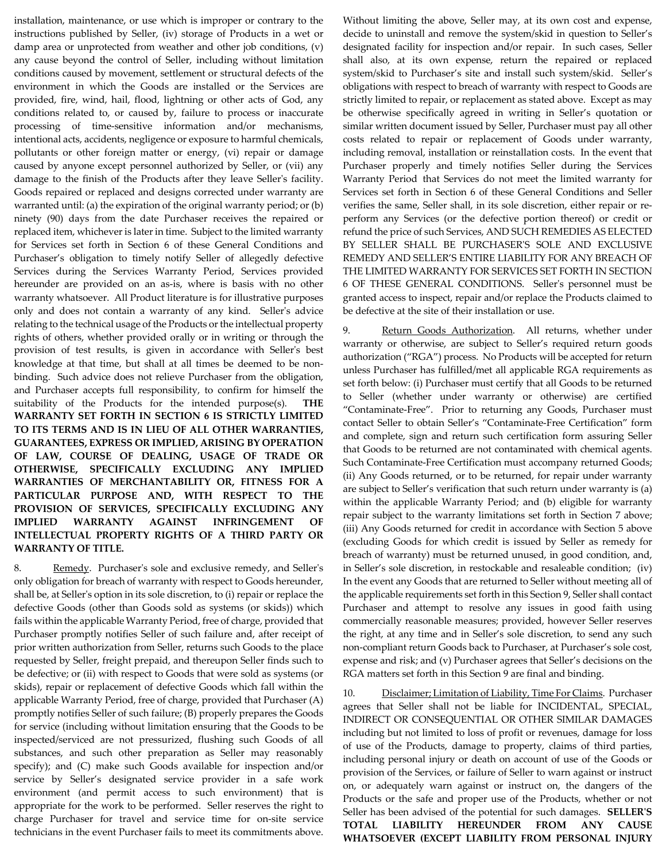installation, maintenance, or use which is improper or contrary to the instructions published by Seller, (iv) storage of Products in a wet or damp area or unprotected from weather and other job conditions, (v) any cause beyond the control of Seller, including without limitation conditions caused by movement, settlement or structural defects of the environment in which the Goods are installed or the Services are provided, fire, wind, hail, flood, lightning or other acts of God, any conditions related to, or caused by, failure to process or inaccurate processing of time-sensitive information and/or mechanisms, intentional acts, accidents, negligence or exposure to harmful chemicals, pollutants or other foreign matter or energy, (vi) repair or damage caused by anyone except personnel authorized by Seller, or (vii) any damage to the finish of the Products after they leave Seller's facility. Goods repaired or replaced and designs corrected under warranty are warranted until: (a) the expiration of the original warranty period; or (b) ninety (90) days from the date Purchaser receives the repaired or replaced item, whichever is later in time. Subject to the limited warranty for Services set forth in Section 6 of these General Conditions and Purchaser's obligation to timely notify Seller of allegedly defective Services during the Services Warranty Period, Services provided hereunder are provided on an as-is, where is basis with no other warranty whatsoever. All Product literature is for illustrative purposes only and does not contain a warranty of any kind. Seller's advice relating to the technical usage of the Products or the intellectual property rights of others, whether provided orally or in writing or through the provision of test results, is given in accordance with Seller's best knowledge at that time, but shall at all times be deemed to be nonbinding. Such advice does not relieve Purchaser from the obligation, and Purchaser accepts full responsibility, to confirm for himself the suitability of the Products for the intended purpose(s). **THE WARRANTY SET FORTH IN SECTION 6 IS STRICTLY LIMITED TO ITS TERMS AND IS IN LIEU OF ALL OTHER WARRANTIES, GUARANTEES, EXPRESS OR IMPLIED, ARISING BY OPERATION OF LAW, COURSE OF DEALING, USAGE OF TRADE OR OTHERWISE, SPECIFICALLY EXCLUDING ANY IMPLIED WARRANTIES OF MERCHANTABILITY OR, FITNESS FOR A PARTICULAR PURPOSE AND, WITH RESPECT TO THE PROVISION OF SERVICES, SPECIFICALLY EXCLUDING ANY IMPLIED WARRANTY AGAINST INFRINGEMENT OF INTELLECTUAL PROPERTY RIGHTS OF A THIRD PARTY OR WARRANTY OF TITLE.**

8. Remedy. Purchaser's sole and exclusive remedy, and Seller's only obligation for breach of warranty with respect to Goods hereunder, shall be, at Seller's option in its sole discretion, to (i) repair or replace the defective Goods (other than Goods sold as systems (or skids)) which fails within the applicable Warranty Period, free of charge, provided that Purchaser promptly notifies Seller of such failure and, after receipt of prior written authorization from Seller, returns such Goods to the place requested by Seller, freight prepaid, and thereupon Seller finds such to be defective; or (ii) with respect to Goods that were sold as systems (or skids), repair or replacement of defective Goods which fall within the applicable Warranty Period, free of charge, provided that Purchaser (A) promptly notifies Seller of such failure; (B) properly prepares the Goods for service (including without limitation ensuring that the Goods to be inspected/serviced are not pressurized, flushing such Goods of all substances, and such other preparation as Seller may reasonably specify); and (C) make such Goods available for inspection and/or service by Seller's designated service provider in a safe work environment (and permit access to such environment) that is appropriate for the work to be performed. Seller reserves the right to charge Purchaser for travel and service time for on-site service technicians in the event Purchaser fails to meet its commitments above.

Without limiting the above, Seller may, at its own cost and expense, decide to uninstall and remove the system/skid in question to Seller's designated facility for inspection and/or repair. In such cases, Seller shall also, at its own expense, return the repaired or replaced system/skid to Purchaser's site and install such system/skid. Seller's obligations with respect to breach of warranty with respect to Goods are strictly limited to repair, or replacement as stated above. Except as may be otherwise specifically agreed in writing in Seller's quotation or similar written document issued by Seller, Purchaser must pay all other costs related to repair or replacement of Goods under warranty, including removal, installation or reinstallation costs. In the event that Purchaser properly and timely notifies Seller during the Services Warranty Period that Services do not meet the limited warranty for Services set forth in Section 6 of these General Conditions and Seller verifies the same, Seller shall, in its sole discretion, either repair or reperform any Services (or the defective portion thereof) or credit or refund the price of such Services, AND SUCH REMEDIES AS ELECTED BY SELLER SHALL BE PURCHASER'S SOLE AND EXCLUSIVE REMEDY AND SELLER'S ENTIRE LIABILITY FOR ANY BREACH OF THE LIMITED WARRANTY FOR SERVICES SET FORTH IN SECTION 6 OF THESE GENERAL CONDITIONS. Seller's personnel must be granted access to inspect, repair and/or replace the Products claimed to be defective at the site of their installation or use.

9. Return Goods Authorization. All returns, whether under warranty or otherwise, are subject to Seller's required return goods authorization ("RGA") process. No Products will be accepted for return unless Purchaser has fulfilled/met all applicable RGA requirements as set forth below: (i) Purchaser must certify that all Goods to be returned to Seller (whether under warranty or otherwise) are certified "Contaminate-Free". Prior to returning any Goods, Purchaser must contact Seller to obtain Seller's "Contaminate-Free Certification" form and complete, sign and return such certification form assuring Seller that Goods to be returned are not contaminated with chemical agents. Such Contaminate-Free Certification must accompany returned Goods; (ii) Any Goods returned, or to be returned, for repair under warranty are subject to Seller's verification that such return under warranty is (a) within the applicable Warranty Period; and (b) eligible for warranty repair subject to the warranty limitations set forth in Section 7 above; (iii) Any Goods returned for credit in accordance with Section 5 above (excluding Goods for which credit is issued by Seller as remedy for breach of warranty) must be returned unused, in good condition, and, in Seller's sole discretion, in restockable and resaleable condition; (iv) In the event any Goods that are returned to Seller without meeting all of the applicable requirements set forth in this Section 9, Seller shall contact Purchaser and attempt to resolve any issues in good faith using commercially reasonable measures; provided, however Seller reserves the right, at any time and in Seller's sole discretion, to send any such non-compliant return Goods back to Purchaser, at Purchaser's sole cost, expense and risk; and (v) Purchaser agrees that Seller's decisions on the RGA matters set forth in this Section 9 are final and binding.

10. Disclaimer; Limitation of Liability, Time For Claims. Purchaser agrees that Seller shall not be liable for INCIDENTAL, SPECIAL, INDIRECT OR CONSEQUENTIAL OR OTHER SIMILAR DAMAGES including but not limited to loss of profit or revenues, damage for loss of use of the Products, damage to property, claims of third parties, including personal injury or death on account of use of the Goods or provision of the Services, or failure of Seller to warn against or instruct on, or adequately warn against or instruct on, the dangers of the Products or the safe and proper use of the Products, whether or not Seller has been advised of the potential for such damages. **SELLER'S TOTAL LIABILITY HEREUNDER FROM ANY CAUSE WHATSOEVER (EXCEPT LIABILITY FROM PERSONAL INJURY**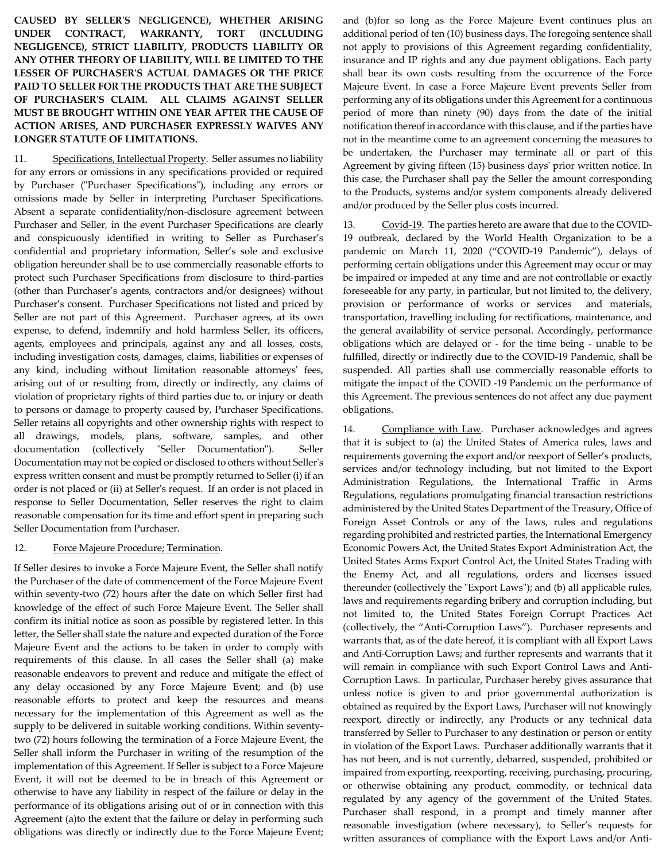**CAUSED BY SELLER'S NEGLIGENCE), WHETHER ARISING UNDER CONTRACT, WARRANTY, TORT (INCLUDING NEGLIGENCE), STRICT LIABILITY, PRODUCTS LIABILITY OR ANY OTHER THEORY OF LIABILITY, WILL BE LIMITED TO THE LESSER OF PURCHASER'S ACTUAL DAMAGES OR THE PRICE PAID TO SELLER FOR THE PRODUCTS THAT ARE THE SUBJECT OF PURCHASER'S CLAIM. ALL CLAIMS AGAINST SELLER MUST BE BROUGHT WITHIN ONE YEAR AFTER THE CAUSE OF ACTION ARISES, AND PURCHASER EXPRESSLY WAIVES ANY LONGER STATUTE OF LIMITATIONS.**

11. Specifications, Intellectual Property. Seller assumes no liability for any errors or omissions in any specifications provided or required by Purchaser ("Purchaser Specifications"), including any errors or omissions made by Seller in interpreting Purchaser Specifications. Absent a separate confidentiality/non-disclosure agreement between Purchaser and Seller, in the event Purchaser Specifications are clearly and conspicuously identified in writing to Seller as Purchaser's confidential and proprietary information, Seller's sole and exclusive obligation hereunder shall be to use commercially reasonable efforts to protect such Purchaser Specifications from disclosure to third-parties (other than Purchaser's agents, contractors and/or designees) without Purchaser's consent. Purchaser Specifications not listed and priced by Seller are not part of this Agreement. Purchaser agrees, at its own expense, to defend, indemnify and hold harmless Seller, its officers, agents, employees and principals, against any and all losses, costs, including investigation costs, damages, claims, liabilities or expenses of any kind, including without limitation reasonable attorneys' fees, arising out of or resulting from, directly or indirectly, any claims of violation of proprietary rights of third parties due to, or injury or death to persons or damage to property caused by, Purchaser Specifications. Seller retains all copyrights and other ownership rights with respect to all drawings, models, plans, software, samples, and other documentation (collectively "Seller Documentation"). Seller Documentation may not be copied or disclosed to others without Seller's express written consent and must be promptly returned to Seller (i) if an order is not placed or (ii) at Seller's request. If an order is not placed in response to Seller Documentation, Seller reserves the right to claim reasonable compensation for its time and effort spent in preparing such Seller Documentation from Purchaser.

## 12. Force Majeure Procedure; Termination.

If Seller desires to invoke a Force Majeure Event, the Seller shall notify the Purchaser of the date of commencement of the Force Majeure Event within seventy-two (72) hours after the date on which Seller first had knowledge of the effect of such Force Majeure Event. The Seller shall confirm its initial notice as soon as possible by registered letter. In this letter, the Seller shall state the nature and expected duration of the Force Majeure Event and the actions to be taken in order to comply with requirements of this clause. In all cases the Seller shall (a) make reasonable endeavors to prevent and reduce and mitigate the effect of any delay occasioned by any Force Majeure Event; and (b) use reasonable efforts to protect and keep the resources and means necessary for the implementation of this Agreement as well as the supply to be delivered in suitable working conditions. Within seventytwo (72) hours following the termination of a Force Majeure Event, the Seller shall inform the Purchaser in writing of the resumption of the implementation of this Agreement. If Seller is subject to a Force Majeure Event, it will not be deemed to be in breach of this Agreement or otherwise to have any liability in respect of the failure or delay in the performance of its obligations arising out of or in connection with this Agreement (a)to the extent that the failure or delay in performing such obligations was directly or indirectly due to the Force Majeure Event;

and (b)for so long as the Force Majeure Event continues plus an additional period of ten (10) business days. The foregoing sentence shall not apply to provisions of this Agreement regarding confidentiality, insurance and IP rights and any due payment obligations. Each party shall bear its own costs resulting from the occurrence of the Force Majeure Event. In case a Force Majeure Event prevents Seller from performing any of its obligations under this Agreement for a continuous period of more than ninety (90) days from the date of the initial notification thereof in accordance with this clause, and if the parties have not in the meantime come to an agreement concerning the measures to be undertaken, the Purchaser may terminate all or part of this Agreement by giving fifteen (15) business days' prior written notice. In this case, the Purchaser shall pay the Seller the amount corresponding to the Products, systems and/or system components already delivered and/or produced by the Seller plus costs incurred.

13. Covid-19. The parties hereto are aware that due to the COVID-19 outbreak, declared by the World Health Organization to be a pandemic on March 11, 2020 ("COVID-19 Pandemic"), delays of performing certain obligations under this Agreement may occur or may be impaired or impeded at any time and are not controllable or exactly foreseeable for any party, in particular, but not limited to, the delivery, provision or performance of works or services and materials, transportation, travelling including for rectifications, maintenance, and the general availability of service personal. Accordingly, performance obligations which are delayed or - for the time being - unable to be fulfilled, directly or indirectly due to the COVID-19 Pandemic, shall be suspended. All parties shall use commercially reasonable efforts to mitigate the impact of the COVID -19 Pandemic on the performance of this Agreement. The previous sentences do not affect any due payment obligations.

14. Compliance with Law. Purchaser acknowledges and agrees that it is subject to (a) the United States of America rules, laws and requirements governing the export and/or reexport of Seller's products, services and/or technology including, but not limited to the Export Administration Regulations, the International Traffic in Arms Regulations, regulations promulgating financial transaction restrictions administered by the United States Department of the Treasury, Office of Foreign Asset Controls or any of the laws, rules and regulations regarding prohibited and restricted parties, the International Emergency Economic Powers Act, the United States Export Administration Act, the United States Arms Export Control Act, the United States Trading with the Enemy Act, and all regulations, orders and licenses issued thereunder (collectively the "Export Laws"); and (b) all applicable rules, laws and requirements regarding bribery and corruption including, but not limited to, the United States Foreign Corrupt Practices Act (collectively, the "Anti-Corruption Laws"). Purchaser represents and warrants that, as of the date hereof, it is compliant with all Export Laws and Anti-Corruption Laws; and further represents and warrants that it will remain in compliance with such Export Control Laws and Anti-Corruption Laws. In particular, Purchaser hereby gives assurance that unless notice is given to and prior governmental authorization is obtained as required by the Export Laws, Purchaser will not knowingly reexport, directly or indirectly, any Products or any technical data transferred by Seller to Purchaser to any destination or person or entity in violation of the Export Laws. Purchaser additionally warrants that it has not been, and is not currently, debarred, suspended, prohibited or impaired from exporting, reexporting, receiving, purchasing, procuring, or otherwise obtaining any product, commodity, or technical data regulated by any agency of the government of the United States. Purchaser shall respond, in a prompt and timely manner after reasonable investigation (where necessary), to Seller's requests for written assurances of compliance with the Export Laws and/or Anti